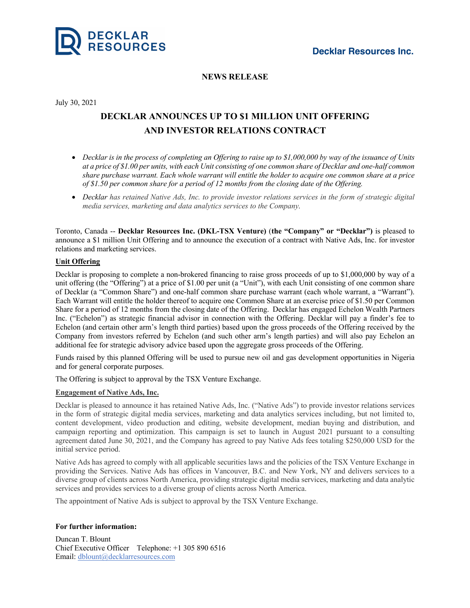



## **NEWS RELEASE**

July 30, 2021

# **DECKLAR ANNOUNCES UP TO \$1 MILLION UNIT OFFERING AND INVESTOR RELATIONS CONTRACT**

- Decklar is in the process of completing an Offering to raise up to  $$1,000,000$  by way of the issuance of Units at a price of \$1.00 per units, with each Unit consisting of one common share of Decklar and one-half common share purchase warrant. Each whole warrant will entitle the holder to acquire one common share at a price *of \$1.50 per common share for a period of 12 months from the closing date of the Offering.*
- Decklar has retained Native Ads, Inc. to provide investor relations services in the form of strategic digital *media services, marketing and data analytics services to the Company.*

Toronto, Canada -- **Decklar Resources Inc. (DKL-TSX Venture)** (**the "Company" or "Decklar")** is pleased to announce a \$1 million Unit Offering and to announce the execution of a contract with Native Ads, Inc. for investor relations and marketing services.

## **Unit Offering**

Decklar is proposing to complete a non-brokered financing to raise gross proceeds of up to \$1,000,000 by way of a unit offering (the "Offering") at a price of \$1.00 per unit (a "Unit"), with each Unit consisting of one common share of Decklar (a "Common Share") and one-half common share purchase warrant (each whole warrant, a "Warrant"). Each Warrant will entitle the holder thereof to acquire one Common Share at an exercise price of \$1.50 per Common Share for a period of 12 months from the closing date of the Offering. Decklar has engaged Echelon Wealth Partners Inc. ("Echelon") as strategic financial advisor in connection with the Offering. Decklar will pay a finder's fee to Echelon (and certain other arm's length third parties) based upon the gross proceeds of the Offering received by the Company from investors referred by Echelon (and such other arm's length parties) and will also pay Echelon an additional fee for strategic advisory advice based upon the aggregate gross proceeds of the Offering.

Funds raised by this planned Offering will be used to pursue new oil and gas development opportunities in Nigeria and for general corporate purposes.

The Offering is subject to approval by the TSX Venture Exchange.

## **Engagement of Native Ads, Inc.**

Decklar is pleased to announce it has retained Native Ads, Inc. ("Native Ads") to provide investor relations services in the form of strategic digital media services, marketing and data analytics services including, but not limited to, content development, video production and editing, website development, median buying and distribution, and campaign reporting and optimization. This campaign is set to launch in August 2021 pursuant to a consulting agreement dated June 30, 2021, and the Company has agreed to pay Native Ads fees totaling \$250,000 USD for the initial service period.

Native Ads has agreed to comply with all applicable securities laws and the policies of the TSX Venture Exchange in providing the Services. Native Ads has offices in Vancouver, B.C. and New York, NY and delivers services to a diverse group of clients across North America, providing strategic digital media services, marketing and data analytic services and provides services to a diverse group of clients across North America.

The appointment of Native Ads is subject to approval by the TSX Venture Exchange.

#### **For further information:**

Duncan T. Blount Chief Executive Officer Telephone: +1 305 890 6516 Email: dblount@decklarresources.com